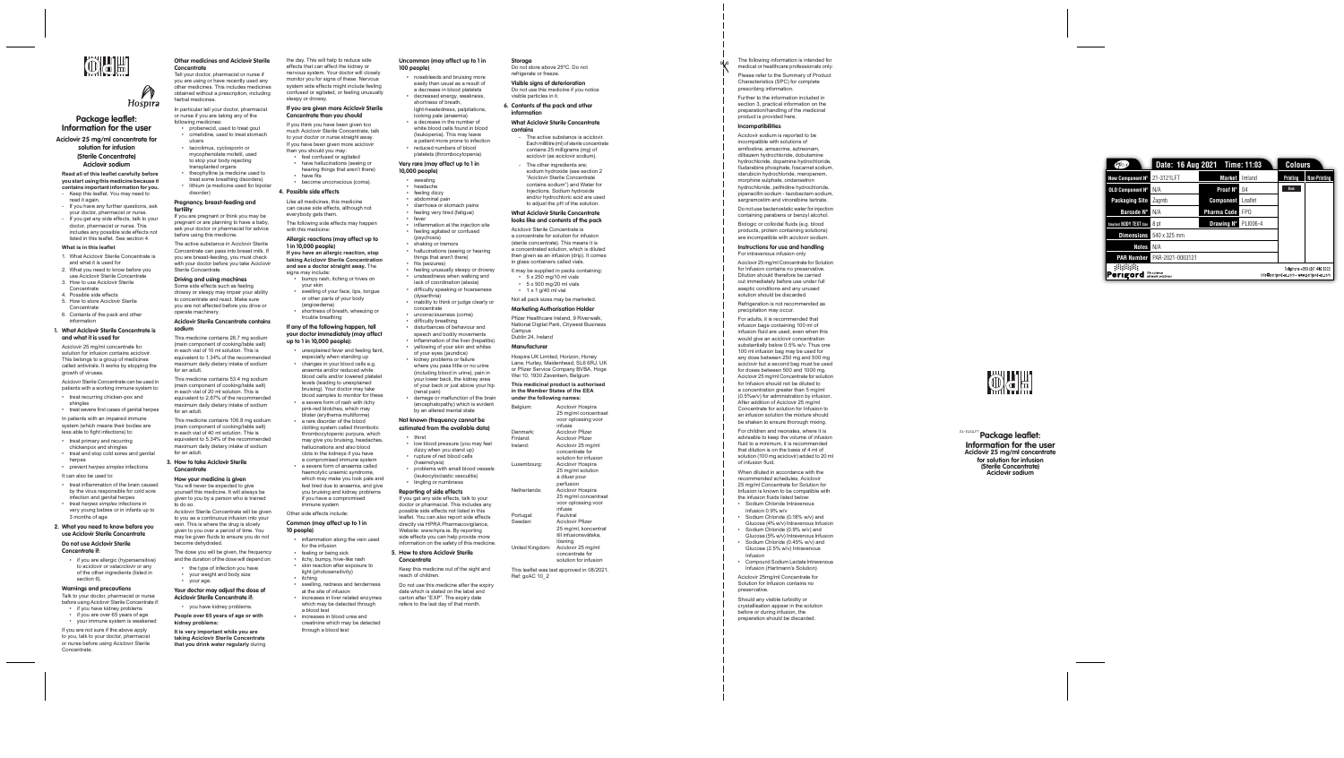## OCE

## Hospira **Package leaflet:**

| <b>Pfizer</b>                  | Date: 16 Aug 2021 Time: 11:03     |                                                                            | Colours         |              |                     |  |
|--------------------------------|-----------------------------------|----------------------------------------------------------------------------|-----------------|--------------|---------------------|--|
| New Component N°               | 21-3121LFT                        | <b>Market</b>                                                              | Ireland         | Printing     | <b>Non-Printing</b> |  |
| <b>OLD Component N°</b>        | N/A                               | Proof N°                                                                   | 04              | <b>Black</b> |                     |  |
| <b>Packaging Site</b>          | Zagreb                            | <b>Component</b>                                                           | Leaflet         |              |                     |  |
| <b>Barcode N°</b>              | N/A                               | <b>Pharma Code</b>                                                         | FP <sub>0</sub> |              |                     |  |
| Smallest <b>BODY TEXT</b> Size | 8 pt                              | <b>Drawing N°</b>                                                          | PLI006-4        |              |                     |  |
| <b>Dimensions</b>              | 540 x 325 mm                      |                                                                            |                 |              |                     |  |
| <b>Notes</b>                   | N/A                               |                                                                            |                 |              |                     |  |
| <b>PAR Number</b>              | PAR-2021-0003121                  |                                                                            |                 |              |                     |  |
| Perıgord                       | life science<br>artwork solutions | Telephone +353 (0)1 440 3222<br>info@perigord-as.com - www.perigord-as.com |                 |              |                     |  |



**Information for the user Aciclovir 25 mg/ml concentrate for solution for infusion**

## **(Sterile Concentrate)**

**Aciclovir sodium**

#### **Read all of this leaflet carefully before you start using this medicine because it**

- **contains important information for you.** Keep this leaflet. You may need to read it again.
- If you have any further questions, ask your doctor, pharmacist or nurse. - If you get any side effects, talk to your
- doctor, pharmacist or nurse. This includes any possible side effects not listed in this leaflet. See section 4.

#### **What is in this leaflet**

- 1. What Aciclovir Sterile Concentrate is and what it is used for
- 2. What you need to know before you use Aciclovir Sterile Concentrate
- 3. How to use Aciclovir Sterile Concentrate
- 4. Possible side effects
- 5. How to store Aciclovir Sterile **Concentrate**
- 6. Contents of the pack and other information

#### **1. What Aciclovir Sterile Concentrate is and what it is used for**

Aciclovir 25 mg/ml concentrate for solution for infusion contains aciclovir. This belongs to a group of medicines called antivirals. It works by stopping the growth of viruses.

Aciclovir Sterile Concentrate can be used in patients with a working immune system to:

- treat recurring chicken-pox and shingles
- treat severe first cases of genital herpes In patients with an impaired immune

system (which means their bodies are less able to fight infections) to:

- treat primary and recurring
- chickenpox and shingles • treat and stop cold sores and genital
- herpes • prevent *herpes simplex* infections
- It can also be used to
- treat inflammation of the brain caused by the virus responsible for cold sore infection and genital herpes
- treat *herpes simplex* infections in very young babies or in infants up to 3 months of age

#### **2. What you need to know before you use Aciclovir Sterile Concentrate**

**Do not use Aciclovir Sterile Concentrate if:**

• if you are allergic (hypersensitive) to aciclovir or valaciclovir or any of the other ingredients (listed in section 6).

#### **Warnings and precautions**

Talk to your doctor, pharmacist or nurse before using Aciclovir Sterile Concentrate if: • if you have kidney problems

- if you are over 65 years of age
- your immune system is weakened

If you are not sure if the above apply to you, talk to your doctor, pharmacist or nurse before using Aciclovir Sterile Concentrate.

#### **Other medicines and Aciclovir Sterile Concentrate**

- than you should you may: • feel confused or agitated
- have hallucinations (seeing or hearing things that aren't there)
- have fits become unconscious (coma).

Tell your doctor, pharmacist or nurse if you are using or have recently used any other medicines. This includes medicines obtained without a prescription, including

herbal medicines. In particular tell your doctor, pharmacist or nurse if you are taking any of the

- signs may include • bumpy rash, itching or hives on
- your skin swelling of your face, lips, tongue or other parts of your body
- (angioedema) • shortness of breath, wheezing or trouble breathing
- following medicines: • probenecid, used to treat gout • cimetidine, used to treat stomach
- ulcers • tacrolimus, cyclosporin or mycophenolate mofetil, used to stop your body rejecting transplanted organs
- theophylline (a medicine used to treat some breathing disorders)
- lithium (a medicine used for bipolar disorder)

#### **Pregnancy, breast-feeding and fertility**

If you are pregnant or think you may be pregnant or are planning to have a baby, ask your doctor or pharmacist for advice before using this medicine.

#### The active substance in Aciclovir Sterile Concentrate can pass into breast milk. If you are breast-feeding, you must check

#### with your doctor before you take Aciclovir Sterile Concentrate. **Driving and using machines** Some side effects such as feeling drowsy or sleepy may impair your ability

to concentrate and react. Make sure you are not affected before you drive or operate machinery. **Aciclovir Sterile Concentrate contains** 

## **sodium**

This medicine contains 26.7 mg sodium (main component of cooking/table salt) in each vial of 10 ml solution. This is equivalent to 1.34% of the recommended maximum daily dietary intake of sodium for an adult.

(psychosis) shaking or tremors

fits (seizures)

This medicine contains 53.4 mg sodium (main component of cooking/table salt) in each vial of 20 ml solution. This is equivalent to 2.67% of the recommended maximum daily dietary intake of sodium

for an adult. This medicine contains 106.8 mg sodium (main component of cooking/table salt) in each vial of 40 ml solution. This is equivalent to 5.34% of the recommended maximum daily dietary intake of sodium for an adult.

damage or malfunction of the brain (encephalopathy) which is evident by an altered mental state **Not known (frequency cannot be estimated from the available data)**

• low blood pressure (you may feel dizzy when you stand up) rupture of red blood cells

#### **3. How to take Aciclovir Sterile Concentrate**

#### **How your medicine is given**

You will never be expected to give yourself this medicine. It will always be given to you by a person who is trained to do so.

Aciclovir Sterile Concentrate will be given to you as a continuous infusion into your vein. This is where the drug is slowly given to you over a period of time. You may be given fluids to ensure you do not become dehydrated.

The dose you will be given, the frequency and the duration of the dose will depend on:

- the type of infection you have • your weight and body size
- your age.

**Your doctor may adjust the dose of Aciclovir Sterile Concentrate if:**

• you have kidney problems.

**People over 65 years of age or with kidney problems:**

**It is very important while you are taking Aciclovir Sterile Concentrate** 

**that you drink water regularly** during

The active substance is aciclovir. Each millilitre (ml) of sterile concentrate contains 25 milligrams (mg) of aciclovir (as aciclovir sodium). The other ingredients are; sodium hydroxide (see section 2 "Aciclovir Sterile Concentrate contains sodium") and Water for Injections. Sodium hydroxide and/or hydrochloric acid are used to adjust the pH of the solution. **What Aciclovir Sterile Concentrate looks like and contents of the pack** Aciclovir Sterile Concentrate is a concentrate for solution for infusion (sterile concentrate). This means it is a concentrated solution, which is diluted then given as an infusion (drip). It comes in glass containers called vials. It may be supplied in packs containing:  $\cdot$  5 x 250 mg/10 ml vials  $\cdot$  5 x 500 mg/20 ml vials • 1 x 1 g/40 ml vial

the day. This will help to reduce side effects that can affect the kidney or nervous system. Your doctor will closely monitor you for signs of these. Nervous system side effects might include feeling confused or agitated, or feeling unusually sleepy or drowsy.

#### **If you are given more Aciclovir Sterile Concentrate than you should**

If you think you have been given too much Aciclovir Sterile Concentrate, talk to your doctor or nurse straight away. If you have been given more aciclovir

#### **4. Possible side effects**

Like all medicines, this medicine can cause side effects, although not everybody gets them.

The following side effects may happen with this medicine:

#### **Allergic reactions (may affect up to 1 in 10,000 people)**

**If you have an allergic reaction, stop taking Aciclovir Sterile Concentration and see a doctor straight away.** The

#### **If any of the following happen, tell your doctor immediately (may affect up to 1 in 10,000 people):**

- unexplained fever and feeling faint, especially when standing up
- changes in your blood cells e.g. anaemia and/or reduced white blood cells and/or lowered platelet levels (leading to unexplained

bruising). Your doctor may take blood samples to monitor for these • a severe form of rash with itchy

pink-red blotches, which may blister (erythema multiforme) • a rare disorder of the blood clotting system called thrombotic thrombocytopenic purpura, which may give you bruising, headaches, hallucinations and also blood clots in the kidneys if you have a compromised immune system

• a severe form of anaemia called haemolytic uraemic syndrome, which may make you look pale and feel tired due to anaemia, and give you bruising and kidney problems if you have a compromised

> Should any visible turbidity or crystallisation appear in the solution before or during infusion, the preparation should be discarded.

immune system Other side effects include:

### **Common (may affect up to 1 in**

**10 people)**

- inflammation along the vein used for the infusion
- feeling or being sick
- itchy, bumpy, hive-like rash
- skin reaction after exposure to light (photosensitivity)
- itching swelling, redness and tenderness at the site of infusion
- increases in liver related enzymes which may be detected through a blood test
- increases in blood urea and creatinine which may be detected through a blood test

#### **Uncommon (may affect up to 1 in 100 people)**

- nosebleeds and bruising more easily than usual as a result of a decrease in blood platelets
- decreased energy, weakness shortness of breath, light-headedness, palpitations
- looking pale (anaemia) • a decrease in the number of white blood cells found in blood (leukopenia). This may leave
- a patient more prone to infection • reduced numbers of blood platelets (thrombocytopenia)

#### **Very rare (may affect up to 1 in 10,000 people)**

• sweating • headache

• feeling dizzy • abdominal pain

• diarrhoea or stomach pains • feeling very tired (fatigue)

• fever

• inflammation at the injection site • feeling agitated or confused

• hallucinations (seeing or hearing things that aren't there)

• feeling unusually sleepy or drowsy • unsteadiness when walking and lack of coordination (ataxia) • difficulty speaking or hoarseness

(dysarthria)

• inability to think or judge clearly or

concentrate

• unconsciousness (coma) • difficulty breathing

• disturbances of behaviour and speech and bodily movements inflammation of the liver (hepatitis) • yellowing of your skin and whites of your eyes (jaundice) • kidney problems or failure where you pass little or no urine (including blood in urine), pain in your lower back, the kidney area of your back or just above your hip

(renal pain)

• thirst

(haemolysis)

• problems with small blood vessels (leukocytoclastic vasculitis) tingling or numbness **Reporting of side effects**

If you get any side effects, talk to your doctor or pharmacist. This includes any possible side effects not listed in this leaflet. You can also report side effects directly via HPRA Pharmacovigilance. Website: www.hpra.ie. By reporting side effects you can help provide more information on the safety of this medicine.

**5. How to store Aciclovir Sterile** 

**Concentrate**

Keep this medicine out of the sight and

reach of children.

Do not use this medicine after the expiry date which is stated on the label and carton after "EXP". The expiry date refers to the last day of that month.

**Storage**

Do not store above 25ºC. Do not

refrigerate or freeze.

**Visible signs of deterioration** Do not use this medicine if you notice

visible particles in it.

**6. Contents of the pack and other** 

**information**

**What Aciclovir Sterile Concentrate** 

**contains**

Not all pack sizes may be marketed. **Marketing Authorisation Holder** Pfizer Healthcare Ireland, 9 Riverwalk, National Digital Park, Citywest Business

Campus Dublin 24, Ireland **Manufacturer**

Hospira UK Limited, Horizon, Honey Lane, Hurley, Maidenhead, SL6 6RJ, UK or Pfizer Service Company BVBA, Hoge Wei 10, 1930 Zaventem, Belgium **This medicinal product is authorised in the Member States of the EEA under the following names:** Belgium: Aciclovir Hospira

> 25 mg/ml concentraat voor oplossing voor

infusie

Aciclovir Pfizer

Ireland: Aciclovir 25 mg/ml

concentrate for solution for infusion

Luxembourg: Aciclovir Hospira

25 mg/ml solution à diluer pour perfusion

Netherlands: Aciclovir Hospira

Portugal: Faulviral Sweden: Aciclovir Pfizer

25 mg/ml concentraat voor oplossing voor

infusie

25 mg/ml, koncentrat till infusionsvätska,

lösning United Kingdom: Aciclovir 25 mg/ml

> concentrate for solution for infusion

Denmark: Aciclovir Pfizer<br>Finland: Aciclovir Pfizer

This leaflet was last approved in 08/2021.

Ref: gxAC 10\_2

The following information is intended for medical or healthcare professionals only: Please refer to the Summary of Product Characteristics (SPC) for complete prescribing information.

Further to the information included in section 3, practical information on the preparation/handling of the medicinal product is provided here.

#### **Incompatibilities**

Aciclovir sodium is reported to be incompatible with solutions of amifostine, amsacrine, aztreonam, diltiazem hydrochloride, dobutamine hydrochloride, dopamine hydrochloride, fludarabine phosphate, foscarnet sodium, idarubicin hydrochloride, meropenem, morphine sulphate, ondansetron hydrochloride, pethidine hydrochloride, piperacillin sodium - tazobactam sodium, sargramostim and vinorelbine tartrate. Do not use bacteriostatic water for injection

containing parabens or benzyl alcohol. Biologic or colloidal fluids (e.g. blood

products, protein containing solutions) are incompatible with aciclovir sodium.

**Instructions for use and handling** For intravenous infusion only

Aciclovir 25 mg/ml Concentrate for Solution for Infusion contains no preservative. Dilution should therefore be carried out immediately before use under full aseptic conditions and any unused solution should be discarded.

Refrigeration is not recommended as precipitation may occur.

For adults, it is recommended that infusion bags containing 100 ml of infusion fluid are used, even when this would give an aciclovir concentration substantially below 0.5% w/v. Thus one 100 ml infusion bag may be used for any dose between 250 mg and 500 mg aciclovir but a second bag must be used for doses between 500 and 1000 mg. Aciclovir 25 mg/ml Concentrate for solution for Infusion should not be diluted to a concentration greater than 5 mg/ml (0.5%w/v) for administration by infusion. After addition of Aciclovir 25 mg/ml Concentrate for solution for Infusion to an infusion solution the mixture should be shaken to ensure thorough mixing. For children and neonates, where it is

advisable to keep the volume of infusion fluid to a minimum, it is recommended that dilution is on the basis of 4 ml of solution (100 mg aciclovir) added to 20 ml of infusion fluid.

When diluted in accordance with the recommended schedules, Aciclovir 25 mg/ml Concentrate for Solution for Infusion is known to be compatible with the infusion fluids listed below:

- Sodium Chloride Intravenous Infusion 0.9% w/v
- Sodium Chloride (0.18% w/v) and Glucose (4% w/v) Intravenous Infusion
- Sodium Chloride (0.9% w/v) and Glucose (5% w/v) Intravenous Infusion
- Sodium Chloride (0.45% w/v) and Glucose (2.5% w/v) Intravenous Infusion • Compound Sodium Lactate Intravenous
- Infusion (Hartmann's Solution) Aciclovir 25mg/ml Concentrate for

Solution for Infusion contains no preservative.

**Package leaflet:**  21-3121LFT**Information for the user Aciclovir 25 mg/ml concentrate for solution for infusion (Sterile Concentrate) Aciclovir sodium**